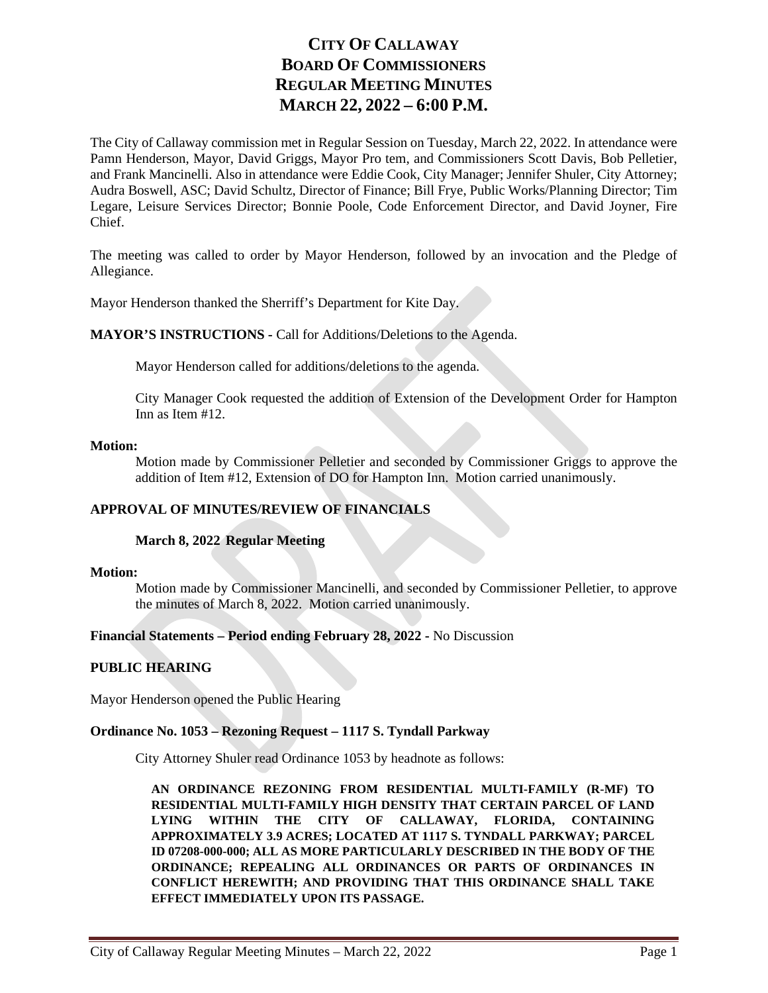# **CITY OF CALLAWAY BOARD OF COMMISSIONERS REGULAR MEETING MINUTES MARCH 22, 2022 – 6:00 P.M.**

The City of Callaway commission met in Regular Session on Tuesday, March 22, 2022. In attendance were Pamn Henderson, Mayor, David Griggs, Mayor Pro tem, and Commissioners Scott Davis, Bob Pelletier, and Frank Mancinelli. Also in attendance were Eddie Cook, City Manager; Jennifer Shuler, City Attorney; Audra Boswell, ASC; David Schultz, Director of Finance; Bill Frye, Public Works/Planning Director; Tim Legare, Leisure Services Director; Bonnie Poole, Code Enforcement Director, and David Joyner, Fire Chief.

The meeting was called to order by Mayor Henderson, followed by an invocation and the Pledge of Allegiance.

Mayor Henderson thanked the Sherriff's Department for Kite Day.

**MAYOR'S INSTRUCTIONS -** Call for Additions/Deletions to the Agenda.

Mayor Henderson called for additions/deletions to the agenda.

City Manager Cook requested the addition of Extension of the Development Order for Hampton Inn as Item #12.

## **Motion:**

Motion made by Commissioner Pelletier and seconded by Commissioner Griggs to approve the addition of Item #12, Extension of DO for Hampton Inn. Motion carried unanimously.

# **APPROVAL OF MINUTES/REVIEW OF FINANCIALS**

## **March 8, 2022 Regular Meeting**

## **Motion:**

Motion made by Commissioner Mancinelli, and seconded by Commissioner Pelletier, to approve the minutes of March 8, 2022. Motion carried unanimously.

## **Financial Statements – Period ending February 28, 2022 -** No Discussion

## **PUBLIC HEARING**

Mayor Henderson opened the Public Hearing

## **Ordinance No. 1053 – Rezoning Request – 1117 S. Tyndall Parkway**

City Attorney Shuler read Ordinance 1053 by headnote as follows:

**AN ORDINANCE REZONING FROM RESIDENTIAL MULTI-FAMILY (R-MF) TO RESIDENTIAL MULTI-FAMILY HIGH DENSITY THAT CERTAIN PARCEL OF LAND LYING WITHIN THE CITY OF CALLAWAY, FLORIDA, CONTAINING APPROXIMATELY 3.9 ACRES; LOCATED AT 1117 S. TYNDALL PARKWAY; PARCEL ID 07208-000-000; ALL AS MORE PARTICULARLY DESCRIBED IN THE BODY OF THE ORDINANCE; REPEALING ALL ORDINANCES OR PARTS OF ORDINANCES IN CONFLICT HEREWITH; AND PROVIDING THAT THIS ORDINANCE SHALL TAKE EFFECT IMMEDIATELY UPON ITS PASSAGE.**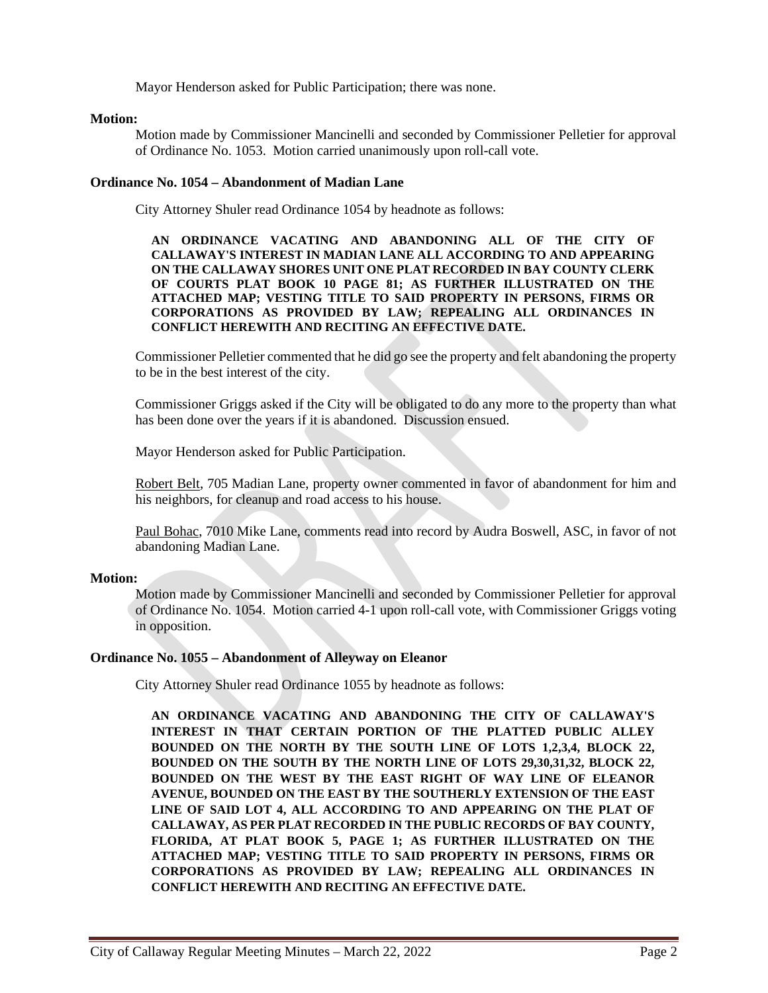Mayor Henderson asked for Public Participation; there was none.

## **Motion:**

Motion made by Commissioner Mancinelli and seconded by Commissioner Pelletier for approval of Ordinance No. 1053. Motion carried unanimously upon roll-call vote.

## **Ordinance No. 1054 – Abandonment of Madian Lane**

City Attorney Shuler read Ordinance 1054 by headnote as follows:

**AN ORDINANCE VACATING AND ABANDONING ALL OF THE CITY OF CALLAWAY'S INTEREST IN MADIAN LANE ALL ACCORDING TO AND APPEARING ON THE CALLAWAY SHORES UNIT ONE PLAT RECORDED IN BAY COUNTY CLERK OF COURTS PLAT BOOK 10 PAGE 81; AS FURTHER ILLUSTRATED ON THE ATTACHED MAP; VESTING TITLE TO SAID PROPERTY IN PERSONS, FIRMS OR CORPORATIONS AS PROVIDED BY LAW; REPEALING ALL ORDINANCES IN CONFLICT HEREWITH AND RECITING AN EFFECTIVE DATE.**

Commissioner Pelletier commented that he did go see the property and felt abandoning the property to be in the best interest of the city.

Commissioner Griggs asked if the City will be obligated to do any more to the property than what has been done over the years if it is abandoned. Discussion ensued.

Mayor Henderson asked for Public Participation.

Robert Belt, 705 Madian Lane, property owner commented in favor of abandonment for him and his neighbors, for cleanup and road access to his house.

Paul Bohac, 7010 Mike Lane, comments read into record by Audra Boswell, ASC, in favor of not abandoning Madian Lane.

#### **Motion:**

Motion made by Commissioner Mancinelli and seconded by Commissioner Pelletier for approval of Ordinance No. 1054. Motion carried 4-1 upon roll-call vote, with Commissioner Griggs voting in opposition.

## **Ordinance No. 1055 – Abandonment of Alleyway on Eleanor**

City Attorney Shuler read Ordinance 1055 by headnote as follows:

**AN ORDINANCE VACATING AND ABANDONING THE CITY OF CALLAWAY'S INTEREST IN THAT CERTAIN PORTION OF THE PLATTED PUBLIC ALLEY BOUNDED ON THE NORTH BY THE SOUTH LINE OF LOTS 1,2,3,4, BLOCK 22, BOUNDED ON THE SOUTH BY THE NORTH LINE OF LOTS 29,30,31,32, BLOCK 22, BOUNDED ON THE WEST BY THE EAST RIGHT OF WAY LINE OF ELEANOR AVENUE, BOUNDED ON THE EAST BY THE SOUTHERLY EXTENSION OF THE EAST LINE OF SAID LOT 4, ALL ACCORDING TO AND APPEARING ON THE PLAT OF CALLAWAY, AS PER PLAT RECORDED IN THE PUBLIC RECORDS OF BAY COUNTY, FLORIDA, AT PLAT BOOK 5, PAGE 1; AS FURTHER ILLUSTRATED ON THE ATTACHED MAP; VESTING TITLE TO SAID PROPERTY IN PERSONS, FIRMS OR CORPORATIONS AS PROVIDED BY LAW; REPEALING ALL ORDINANCES IN CONFLICT HEREWITH AND RECITING AN EFFECTIVE DATE.**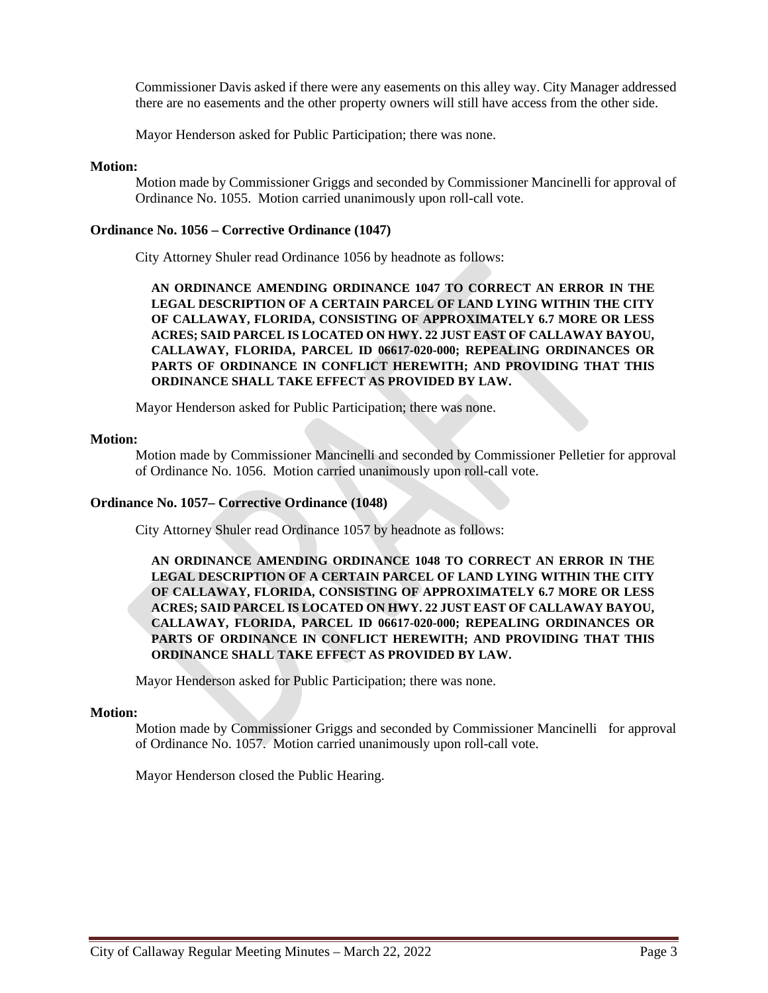Commissioner Davis asked if there were any easements on this alley way. City Manager addressed there are no easements and the other property owners will still have access from the other side.

Mayor Henderson asked for Public Participation; there was none.

## **Motion:**

Motion made by Commissioner Griggs and seconded by Commissioner Mancinelli for approval of Ordinance No. 1055. Motion carried unanimously upon roll-call vote.

## **Ordinance No. 1056 – Corrective Ordinance (1047)**

City Attorney Shuler read Ordinance 1056 by headnote as follows:

**AN ORDINANCE AMENDING ORDINANCE 1047 TO CORRECT AN ERROR IN THE LEGAL DESCRIPTION OF A CERTAIN PARCEL OF LAND LYING WITHIN THE CITY OF CALLAWAY, FLORIDA, CONSISTING OF APPROXIMATELY 6.7 MORE OR LESS ACRES; SAID PARCEL IS LOCATED ON HWY. 22 JUST EAST OF CALLAWAY BAYOU, CALLAWAY, FLORIDA, PARCEL ID 06617-020-000; REPEALING ORDINANCES OR PARTS OF ORDINANCE IN CONFLICT HEREWITH; AND PROVIDING THAT THIS ORDINANCE SHALL TAKE EFFECT AS PROVIDED BY LAW.**

Mayor Henderson asked for Public Participation; there was none.

## **Motion:**

Motion made by Commissioner Mancinelli and seconded by Commissioner Pelletier for approval of Ordinance No. 1056. Motion carried unanimously upon roll-call vote.

## **Ordinance No. 1057– Corrective Ordinance (1048)**

City Attorney Shuler read Ordinance 1057 by headnote as follows:

**AN ORDINANCE AMENDING ORDINANCE 1048 TO CORRECT AN ERROR IN THE LEGAL DESCRIPTION OF A CERTAIN PARCEL OF LAND LYING WITHIN THE CITY OF CALLAWAY, FLORIDA, CONSISTING OF APPROXIMATELY 6.7 MORE OR LESS ACRES; SAID PARCEL IS LOCATED ON HWY. 22 JUST EAST OF CALLAWAY BAYOU, CALLAWAY, FLORIDA, PARCEL ID 06617-020-000; REPEALING ORDINANCES OR PARTS OF ORDINANCE IN CONFLICT HEREWITH; AND PROVIDING THAT THIS ORDINANCE SHALL TAKE EFFECT AS PROVIDED BY LAW.**

Mayor Henderson asked for Public Participation; there was none.

#### **Motion:**

Motion made by Commissioner Griggs and seconded by Commissioner Mancinelli for approval of Ordinance No. 1057. Motion carried unanimously upon roll-call vote.

Mayor Henderson closed the Public Hearing.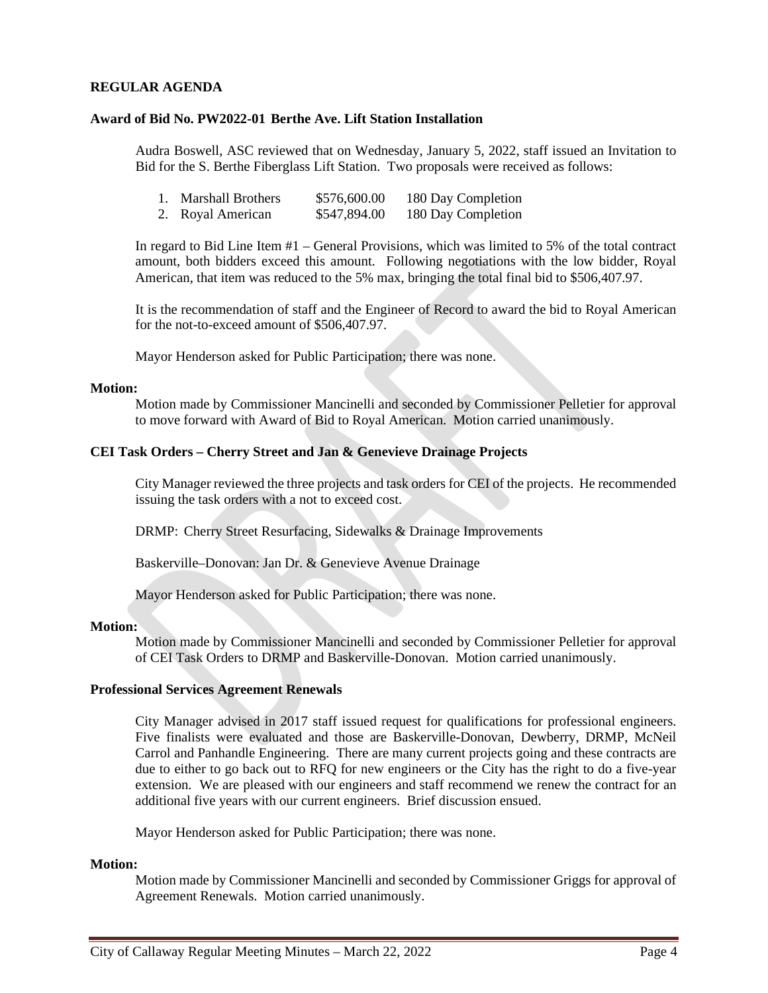## **REGULAR AGENDA**

## **Award of Bid No. PW2022-01 Berthe Ave. Lift Station Installation**

Audra Boswell, ASC reviewed that on Wednesday, January 5, 2022, staff issued an Invitation to Bid for the S. Berthe Fiberglass Lift Station. Two proposals were received as follows:

| <b>Marshall Brothers</b> | \$576,600.00 | 180 Day Completion |
|--------------------------|--------------|--------------------|
| 2. Royal American        | \$547,894.00 | 180 Day Completion |

In regard to Bid Line Item #1 – General Provisions, which was limited to 5% of the total contract amount, both bidders exceed this amount. Following negotiations with the low bidder, Royal American, that item was reduced to the 5% max, bringing the total final bid to \$506,407.97.

It is the recommendation of staff and the Engineer of Record to award the bid to Royal American for the not-to-exceed amount of \$506,407.97.

Mayor Henderson asked for Public Participation; there was none.

#### **Motion:**

Motion made by Commissioner Mancinelli and seconded by Commissioner Pelletier for approval to move forward with Award of Bid to Royal American. Motion carried unanimously.

## **CEI Task Orders – Cherry Street and Jan & Genevieve Drainage Projects**

City Manager reviewed the three projects and task orders for CEI of the projects. He recommended issuing the task orders with a not to exceed cost.

DRMP: Cherry Street Resurfacing, Sidewalks & Drainage Improvements

Baskerville–Donovan: Jan Dr. & Genevieve Avenue Drainage

Mayor Henderson asked for Public Participation; there was none.

#### **Motion:**

Motion made by Commissioner Mancinelli and seconded by Commissioner Pelletier for approval of CEI Task Orders to DRMP and Baskerville-Donovan. Motion carried unanimously.

## **Professional Services Agreement Renewals**

City Manager advised in 2017 staff issued request for qualifications for professional engineers. Five finalists were evaluated and those are Baskerville-Donovan, Dewberry, DRMP, McNeil Carrol and Panhandle Engineering. There are many current projects going and these contracts are due to either to go back out to RFQ for new engineers or the City has the right to do a five-year extension. We are pleased with our engineers and staff recommend we renew the contract for an additional five years with our current engineers. Brief discussion ensued.

Mayor Henderson asked for Public Participation; there was none.

#### **Motion:**

Motion made by Commissioner Mancinelli and seconded by Commissioner Griggs for approval of Agreement Renewals. Motion carried unanimously.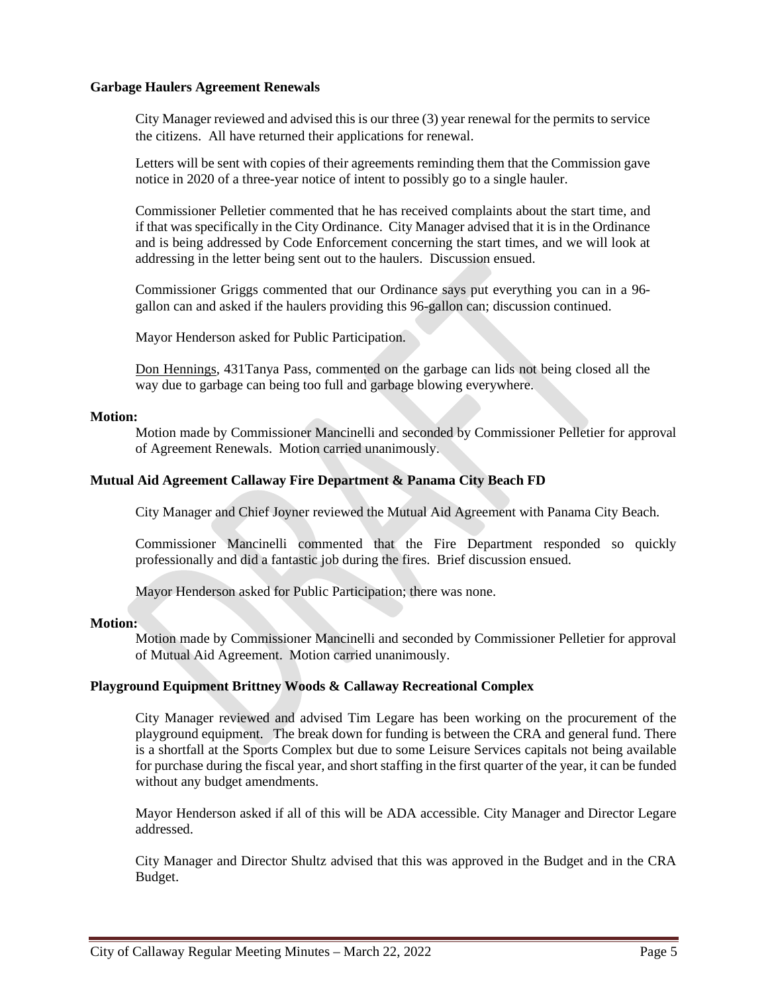## **Garbage Haulers Agreement Renewals**

City Manager reviewed and advised this is our three (3) year renewal for the permits to service the citizens. All have returned their applications for renewal.

Letters will be sent with copies of their agreements reminding them that the Commission gave notice in 2020 of a three-year notice of intent to possibly go to a single hauler.

Commissioner Pelletier commented that he has received complaints about the start time, and if that was specifically in the City Ordinance. City Manager advised that it is in the Ordinance and is being addressed by Code Enforcement concerning the start times, and we will look at addressing in the letter being sent out to the haulers. Discussion ensued.

Commissioner Griggs commented that our Ordinance says put everything you can in a 96 gallon can and asked if the haulers providing this 96-gallon can; discussion continued.

Mayor Henderson asked for Public Participation.

Don Hennings, 431Tanya Pass, commented on the garbage can lids not being closed all the way due to garbage can being too full and garbage blowing everywhere.

#### **Motion:**

Motion made by Commissioner Mancinelli and seconded by Commissioner Pelletier for approval of Agreement Renewals. Motion carried unanimously.

## **Mutual Aid Agreement Callaway Fire Department & Panama City Beach FD**

City Manager and Chief Joyner reviewed the Mutual Aid Agreement with Panama City Beach.

Commissioner Mancinelli commented that the Fire Department responded so quickly professionally and did a fantastic job during the fires. Brief discussion ensued.

Mayor Henderson asked for Public Participation; there was none.

#### **Motion:**

Motion made by Commissioner Mancinelli and seconded by Commissioner Pelletier for approval of Mutual Aid Agreement. Motion carried unanimously.

## **Playground Equipment Brittney Woods & Callaway Recreational Complex**

City Manager reviewed and advised Tim Legare has been working on the procurement of the playground equipment. The break down for funding is between the CRA and general fund. There is a shortfall at the Sports Complex but due to some Leisure Services capitals not being available for purchase during the fiscal year, and short staffing in the first quarter of the year, it can be funded without any budget amendments.

Mayor Henderson asked if all of this will be ADA accessible. City Manager and Director Legare addressed.

City Manager and Director Shultz advised that this was approved in the Budget and in the CRA Budget.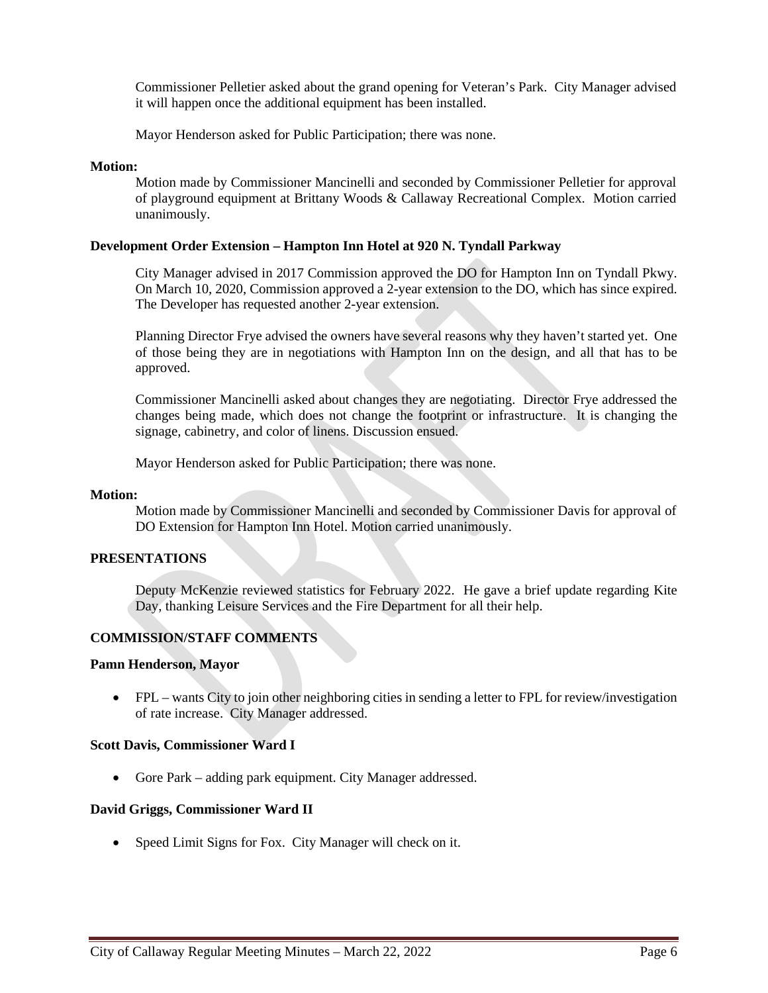Commissioner Pelletier asked about the grand opening for Veteran's Park. City Manager advised it will happen once the additional equipment has been installed.

Mayor Henderson asked for Public Participation; there was none.

## **Motion:**

Motion made by Commissioner Mancinelli and seconded by Commissioner Pelletier for approval of playground equipment at Brittany Woods & Callaway Recreational Complex. Motion carried unanimously.

## **Development Order Extension – Hampton Inn Hotel at 920 N. Tyndall Parkway**

City Manager advised in 2017 Commission approved the DO for Hampton Inn on Tyndall Pkwy. On March 10, 2020, Commission approved a 2-year extension to the DO, which has since expired. The Developer has requested another 2-year extension.

Planning Director Frye advised the owners have several reasons why they haven't started yet. One of those being they are in negotiations with Hampton Inn on the design, and all that has to be approved.

Commissioner Mancinelli asked about changes they are negotiating. Director Frye addressed the changes being made, which does not change the footprint or infrastructure. It is changing the signage, cabinetry, and color of linens. Discussion ensued.

Mayor Henderson asked for Public Participation; there was none.

#### **Motion:**

Motion made by Commissioner Mancinelli and seconded by Commissioner Davis for approval of DO Extension for Hampton Inn Hotel. Motion carried unanimously.

#### **PRESENTATIONS**

Deputy McKenzie reviewed statistics for February 2022. He gave a brief update regarding Kite Day, thanking Leisure Services and the Fire Department for all their help.

# **COMMISSION/STAFF COMMENTS**

#### **Pamn Henderson, Mayor**

• FPL – wants City to join other neighboring cities in sending a letter to FPL for review/investigation of rate increase. City Manager addressed.

#### **Scott Davis, Commissioner Ward I**

• Gore Park – adding park equipment. City Manager addressed.

#### **David Griggs, Commissioner Ward II**

• Speed Limit Signs for Fox. City Manager will check on it.